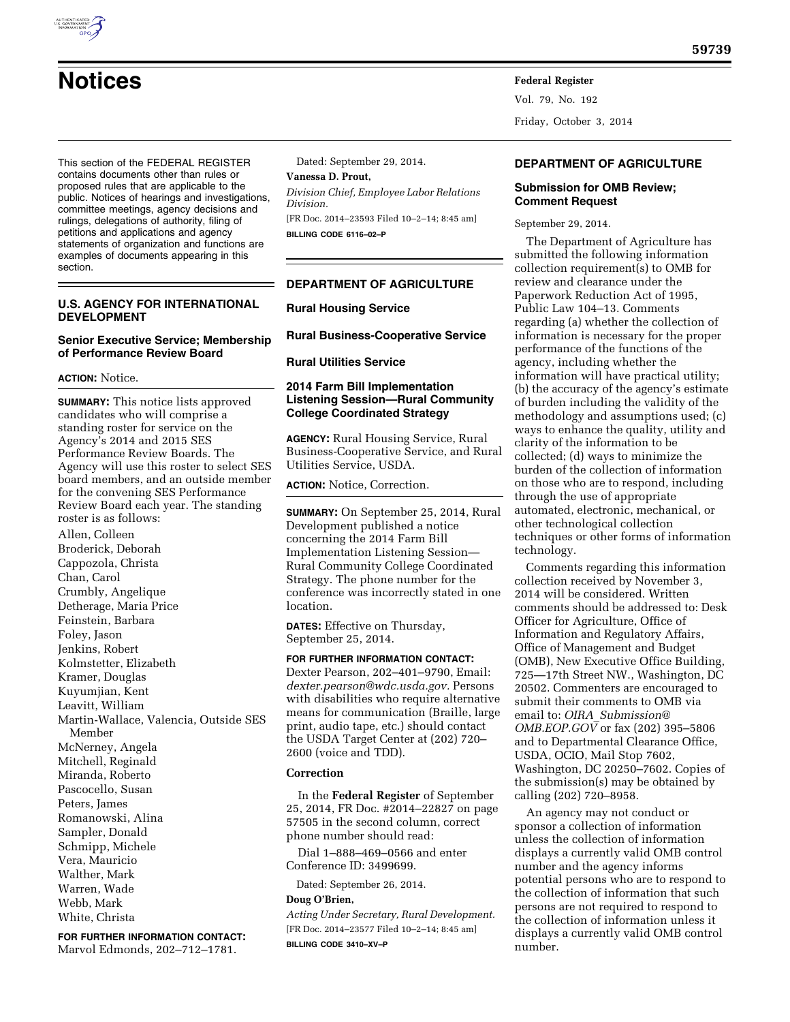# **Notices Federal Register**

This section of the FEDERAL REGISTER contains documents other than rules or proposed rules that are applicable to the public. Notices of hearings and investigations, committee meetings, agency decisions and rulings, delegations of authority, filing of petitions and applications and agency statements of organization and functions are examples of documents appearing in this

## **U.S. AGENCY FOR INTERNATIONAL DEVELOPMENT**

#### **Senior Executive Service; Membership of Performance Review Board**

#### **ACTION:** Notice.

section.

**SUMMARY:** This notice lists approved candidates who will comprise a standing roster for service on the Agency's 2014 and 2015 SES Performance Review Boards. The Agency will use this roster to select SES board members, and an outside member for the convening SES Performance Review Board each year. The standing roster is as follows:

Allen, Colleen Broderick, Deborah Cappozola, Christa Chan, Carol Crumbly, Angelique Detherage, Maria Price Feinstein, Barbara Foley, Jason Jenkins, Robert Kolmstetter, Elizabeth Kramer, Douglas Kuyumjian, Kent Leavitt, William Martin-Wallace, Valencia, Outside SES Member McNerney, Angela Mitchell, Reginald Miranda, Roberto Pascocello, Susan Peters, James Romanowski, Alina Sampler, Donald Schmipp, Michele Vera, Mauricio Walther, Mark Warren, Wade Webb, Mark White, Christa

**FOR FURTHER INFORMATION CONTACT:** 

Marvol Edmonds, 202–712–1781.

Dated: September 29, 2014.

## **Vanessa D. Prout,**

*Division Chief, Employee Labor Relations Division.* 

[FR Doc. 2014–23593 Filed 10–2–14; 8:45 am] **BILLING CODE 6116–02–P** 

## **DEPARTMENT OF AGRICULTURE**

#### **Rural Housing Service**

**Rural Business-Cooperative Service** 

#### **Rural Utilities Service**

## **2014 Farm Bill Implementation Listening Session—Rural Community College Coordinated Strategy**

**AGENCY:** Rural Housing Service, Rural Business-Cooperative Service, and Rural Utilities Service, USDA.

**ACTION:** Notice, Correction.

**SUMMARY:** On September 25, 2014, Rural Development published a notice concerning the 2014 Farm Bill Implementation Listening Session— Rural Community College Coordinated Strategy. The phone number for the conference was incorrectly stated in one location.

**DATES:** Effective on Thursday, September 25, 2014.

**FOR FURTHER INFORMATION CONTACT:**  Dexter Pearson, 202–401–9790, Email: *[dexter.pearson@wdc.usda.gov.](mailto:dexter.pearson@wdc.usda.gov)* Persons with disabilities who require alternative means for communication (Braille, large print, audio tape, etc.) should contact the USDA Target Center at (202) 720– 2600 (voice and TDD).

#### **Correction**

In the **Federal Register** of September 25, 2014, FR Doc. #2014–22827 on page 57505 in the second column, correct phone number should read:

Dial 1–888–469–0566 and enter Conference ID: 3499699.

Dated: September 26, 2014.

#### **Doug O'Brien,**

*Acting Under Secretary, Rural Development.*  [FR Doc. 2014–23577 Filed 10–2–14; 8:45 am] **BILLING CODE 3410–XV–P** 

#### **DEPARTMENT OF AGRICULTURE**

#### **Submission for OMB Review; Comment Request**

September 29, 2014.

Vol. 79, No. 192

Friday, October 3, 2014

The Department of Agriculture has submitted the following information collection requirement(s) to OMB for review and clearance under the Paperwork Reduction Act of 1995, Public Law 104–13. Comments regarding (a) whether the collection of information is necessary for the proper performance of the functions of the agency, including whether the information will have practical utility; (b) the accuracy of the agency's estimate of burden including the validity of the methodology and assumptions used; (c) ways to enhance the quality, utility and clarity of the information to be collected; (d) ways to minimize the burden of the collection of information on those who are to respond, including through the use of appropriate automated, electronic, mechanical, or other technological collection techniques or other forms of information technology.

Comments regarding this information collection received by November 3, 2014 will be considered. Written comments should be addressed to: Desk Officer for Agriculture, Office of Information and Regulatory Affairs, Office of Management and Budget (OMB), New Executive Office Building, 725—17th Street NW., Washington, DC 20502. Commenters are encouraged to submit their comments to OMB via email to: *OIRA*\_*[Submission@](mailto:OIRA_Submission@OMB.EOP.GOV) [OMB.EOP.GOV](mailto:OIRA_Submission@OMB.EOP.GOV)* or fax (202) 395–5806 and to Departmental Clearance Office, USDA, OCIO, Mail Stop 7602, Washington, DC 20250–7602. Copies of the submission(s) may be obtained by calling (202) 720–8958.

An agency may not conduct or sponsor a collection of information unless the collection of information displays a currently valid OMB control number and the agency informs potential persons who are to respond to the collection of information that such persons are not required to respond to the collection of information unless it displays a currently valid OMB control number.